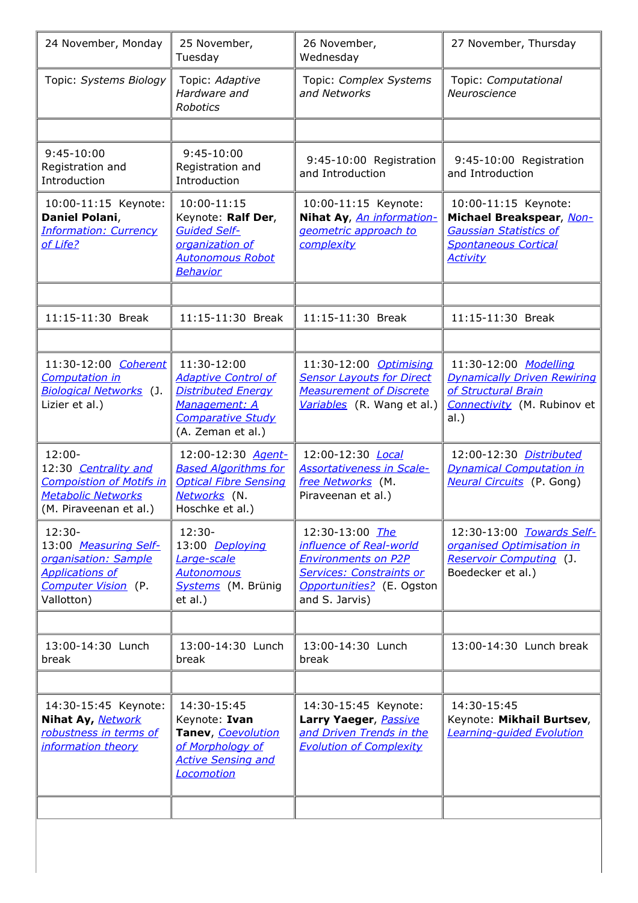| 24 November, Monday                                                                                                         | 25 November,<br>Tuesday                                                                                                                  | 26 November,<br>Wednesday                                                                                                                                  | 27 November, Thursday                                                                                                               |
|-----------------------------------------------------------------------------------------------------------------------------|------------------------------------------------------------------------------------------------------------------------------------------|------------------------------------------------------------------------------------------------------------------------------------------------------------|-------------------------------------------------------------------------------------------------------------------------------------|
| Topic: Systems Biology                                                                                                      | Topic: Adaptive<br>Hardware and<br><b>Robotics</b>                                                                                       | Topic: Complex Systems<br>and Networks                                                                                                                     | Topic: Computational<br>Neuroscience                                                                                                |
|                                                                                                                             |                                                                                                                                          |                                                                                                                                                            |                                                                                                                                     |
| 9:45-10:00<br>Registration and<br>Introduction                                                                              | 9:45-10:00<br>Registration and<br>Introduction                                                                                           | 9:45-10:00 Registration<br>and Introduction                                                                                                                | 9:45-10:00 Registration<br>and Introduction                                                                                         |
| 10:00-11:15 Keynote:<br>Daniel Polani,<br><b>Information: Currency</b><br>of Life?                                          | 10:00-11:15<br>Keynote: Ralf Der,<br><b>Guided Self-</b><br>organization of<br><b>Autonomous Robot</b><br>Behavior                       | 10:00-11:15 Keynote:<br>Nihat Ay, An information-<br>geometric approach to<br>complexity                                                                   | 10:00-11:15 Keynote:<br>Michael Breakspear, Non-<br><b>Gaussian Statistics of</b><br><b>Spontaneous Cortical</b><br><b>Activity</b> |
|                                                                                                                             |                                                                                                                                          |                                                                                                                                                            |                                                                                                                                     |
| 11:15-11:30 Break                                                                                                           | 11:15-11:30 Break                                                                                                                        | 11:15-11:30 Break                                                                                                                                          | 11:15-11:30 Break                                                                                                                   |
|                                                                                                                             |                                                                                                                                          |                                                                                                                                                            |                                                                                                                                     |
| 11:30-12:00 Coherent<br><b>Computation in</b><br><b>Biological Networks (J.</b><br>Lizier et al.)                           | 11:30-12:00<br><b>Adaptive Control of</b><br><b>Distributed Energy</b><br>Management: A<br><b>Comparative Study</b><br>(A. Zeman et al.) | 11:30-12:00 Optimising<br><b>Sensor Layouts for Direct</b><br><b>Measurement of Discrete</b><br>Variables (R. Wang et al.)                                 | 11:30-12:00 Modelling<br><b>Dynamically Driven Rewiring</b><br>of Structural Brain<br>Connectivity (M. Rubinov et<br>al.)           |
| $12:00 -$<br>12:30 Centrality and<br><b>Compoistion of Motifs in</b><br><b>Metabolic Networks</b><br>(M. Piraveenan et al.) | 12:00-12:30 Agent-<br><b>Based Algorithms for</b><br><b>Optical Fibre Sensing</b><br>Networks (N.<br>Hoschke et al.)                     | 12:00-12:30 <i>Local</i><br><b>Assortativeness in Scale-</b><br>free Networks (M.<br>Piraveenan et al.)                                                    | 12:00-12:30 Distributed<br><b>Dynamical Computation in</b><br><b>Neural Circuits</b> (P. Gong)                                      |
| $12:30-$<br>13:00 Measuring Self-<br>organisation: Sample<br><b>Applications of</b><br>Computer Vision (P.<br>Vallotton)    | $12:30-$<br>13:00 Deploying<br>Large-scale<br><b>Autonomous</b><br>Systems (M. Brünig<br>et al.)                                         | 12:30-13:00 The<br>influence of Real-world<br><b>Environments on P2P</b><br><b>Services: Constraints or</b><br>Opportunities? (E. Ogston<br>and S. Jarvis) | 12:30-13:00 Towards Self-<br>organised Optimisation in<br><b>Reservoir Computing (J.</b><br>Boedecker et al.)                       |
|                                                                                                                             |                                                                                                                                          |                                                                                                                                                            |                                                                                                                                     |
| 13:00-14:30 Lunch<br>break                                                                                                  | 13:00-14:30 Lunch<br>break                                                                                                               | 13:00-14:30 Lunch<br>break                                                                                                                                 | 13:00-14:30 Lunch break                                                                                                             |
|                                                                                                                             |                                                                                                                                          |                                                                                                                                                            |                                                                                                                                     |
| 14:30-15:45 Keynote:<br>Nihat Ay, Network<br>robustness in terms of<br>information theory                                   | 14:30-15:45<br>Keynote: Ivan<br>Tanev, Coevolution<br>of Morphology of<br><b>Active Sensing and</b><br>Locomotion                        | 14:30-15:45 Keynote:<br>Larry Yaeger, Passive<br>and Driven Trends in the<br><b>Evolution of Complexity</b>                                                | 14:30-15:45<br>Keynote: Mikhail Burtsev,<br><b>Learning-guided Evolution</b>                                                        |
|                                                                                                                             |                                                                                                                                          |                                                                                                                                                            |                                                                                                                                     |